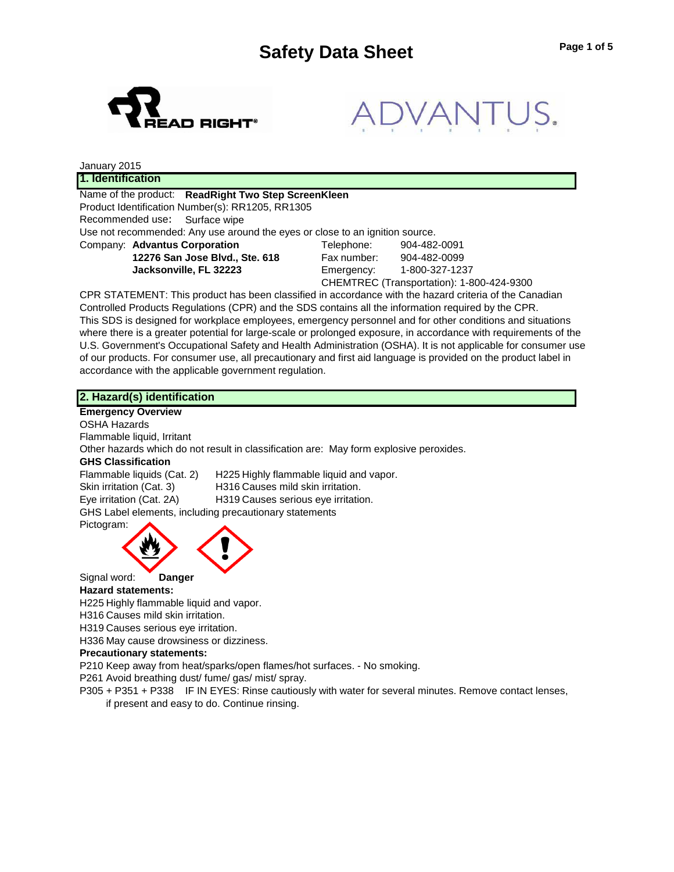



| January 2015                                                                 |             |                                           |
|------------------------------------------------------------------------------|-------------|-------------------------------------------|
| 1. Identification                                                            |             |                                           |
| Name of the product: ReadRight Two Step ScreenKleen                          |             |                                           |
| Product Identification Number(s): RR1205, RR1305                             |             |                                           |
| Recommended use: Surface wipe                                                |             |                                           |
| Use not recommended: Any use around the eyes or close to an ignition source. |             |                                           |
| Company: Advantus Corporation                                                | Telephone:  | 904-482-0091                              |
| 12276 San Jose Blvd., Ste. 618                                               | Fax number: | 904-482-0099                              |
| Jacksonville, FL 32223                                                       | Emergency:  | 1-800-327-1237                            |
|                                                                              |             | CHEMTREC (Transportation): 1-800-424-9300 |

CPR STATEMENT: This product has been classified in accordance with the hazard criteria of the Canadian Controlled Products Regulations (CPR) and the SDS contains all the information required by the CPR. This SDS is designed for workplace employees, emergency personnel and for other conditions and situations where there is a greater potential for large-scale or prolonged exposure, in accordance with requirements of the U.S. Government's Occupational Safety and Health Administration (OSHA). It is not applicable for consumer use of our products. For consumer use, all precautionary and first aid language is provided on the product label in accordance with the applicable government regulation.

**2. Hazard(s) identification Emergency Overview** OSHA Hazards Flammable liquid, Irritant Other hazards which do not result in classification are: May form explosive peroxides. **GHS Classification** Flammable liquids (Cat. 2) H225 Highly flammable liquid and vapor. Skin irritation (Cat. 3) H316 Causes mild skin irritation. Eye irritation (Cat. 2A) H319 Causes serious eye irritation. GHS Label elements, including precautionary statements Pictogram: Signal word: **Danger**

#### **Hazard statements:**

H225 Highly flammable liquid and vapor.

H316 Causes mild skin irritation.

H319 Causes serious eye irritation.

H336 May cause drowsiness or dizziness.

#### **Precautionary statements:**

P210 Keep away from heat/sparks/open flames/hot surfaces. - No smoking.

P261 Avoid breathing dust/ fume/ gas/ mist/ spray.

P305 + P351 + P338 IF IN EYES: Rinse cautiously with water for several minutes. Remove contact lenses, if present and easy to do. Continue rinsing.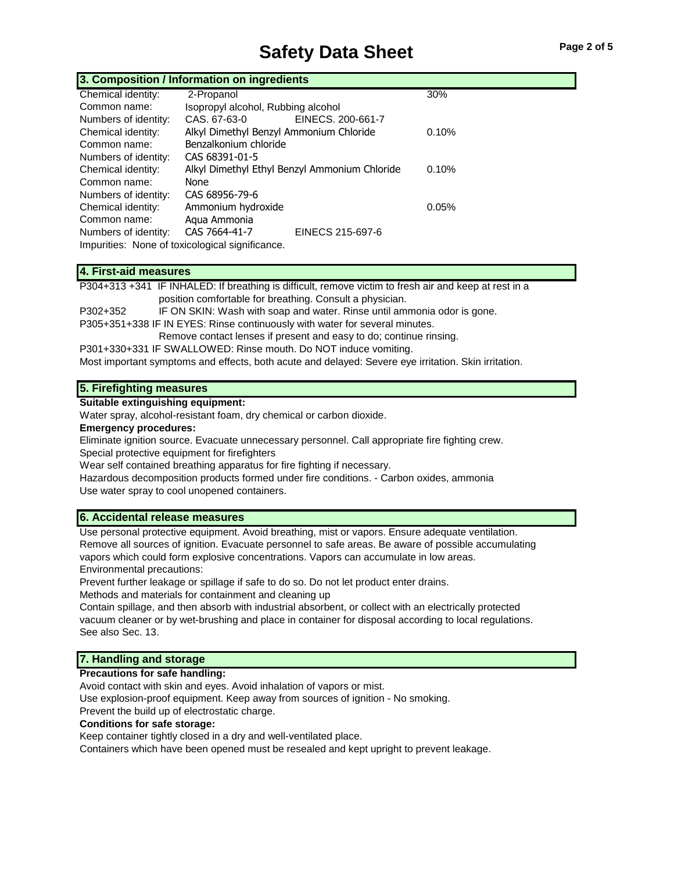# **Safety Data Sheet** Page 2 of 5

|                      | 3. Composition / Information on ingredients   |                   |       |  |
|----------------------|-----------------------------------------------|-------------------|-------|--|
| Chemical identity:   | 2-Propanol                                    |                   | 30%   |  |
| Common name:         | Isopropyl alcohol, Rubbing alcohol            |                   |       |  |
| Numbers of identity: | CAS, 67-63-0                                  | EINECS, 200-661-7 |       |  |
| Chemical identity:   | Alkyl Dimethyl Benzyl Ammonium Chloride       |                   | 0.10% |  |
| Common name:         | Benzalkonium chloride                         |                   |       |  |
| Numbers of identity: | CAS 68391-01-5                                |                   |       |  |
| Chemical identity:   | Alkyl Dimethyl Ethyl Benzyl Ammonium Chloride |                   | 0.10% |  |
| Common name:         | None                                          |                   |       |  |
| Numbers of identity: | CAS 68956-79-6                                |                   |       |  |
| Chemical identity:   | Ammonium hydroxide                            |                   | 0.05% |  |
| Common name:         | Agua Ammonia                                  |                   |       |  |
| Numbers of identity: | CAS 7664-41-7                                 | EINECS 215-697-6  |       |  |

Impurities: None of toxicological significance.

## **4. First-aid measures**

P304+313 +341 IF INHALED: If breathing is difficult, remove victim to fresh air and keep at rest in a position comfortable for breathing. Consult a physician.

P302+352 IF ON SKIN: Wash with soap and water. Rinse until ammonia odor is gone. P305+351+338 IF IN EYES: Rinse continuously with water for several minutes.

Remove contact lenses if present and easy to do; continue rinsing.

P301+330+331 IF SWALLOWED: Rinse mouth. Do NOT induce vomiting.

Most important symptoms and effects, both acute and delayed: Severe eye irritation. Skin irritation.

#### **5. Firefighting measures**

#### **Suitable extinguishing equipment:**

Water spray, alcohol-resistant foam, dry chemical or carbon dioxide.

#### **Emergency procedures:**

Eliminate ignition source. Evacuate unnecessary personnel. Call appropriate fire fighting crew. Special protective equipment for firefighters

Wear self contained breathing apparatus for fire fighting if necessary.

Hazardous decomposition products formed under fire conditions. - Carbon oxides, ammonia Use water spray to cool unopened containers.

#### **6. Accidental release measures**

Use personal protective equipment. Avoid breathing, mist or vapors. Ensure adequate ventilation. Remove all sources of ignition. Evacuate personnel to safe areas. Be aware of possible accumulating vapors which could form explosive concentrations. Vapors can accumulate in low areas. Environmental precautions:

Prevent further leakage or spillage if safe to do so. Do not let product enter drains. Methods and materials for containment and cleaning up

Contain spillage, and then absorb with industrial absorbent, or collect with an electrically protected vacuum cleaner or by wet-brushing and place in container for disposal according to local regulations. See also Sec. 13.

### **7. Handling and storage**

#### **Precautions for safe handling:**

Avoid contact with skin and eyes. Avoid inhalation of vapors or mist.

Use explosion-proof equipment. Keep away from sources of ignition - No smoking.

Prevent the build up of electrostatic charge.

#### **Conditions for safe storage:**

Keep container tightly closed in a dry and well-ventilated place.

Containers which have been opened must be resealed and kept upright to prevent leakage.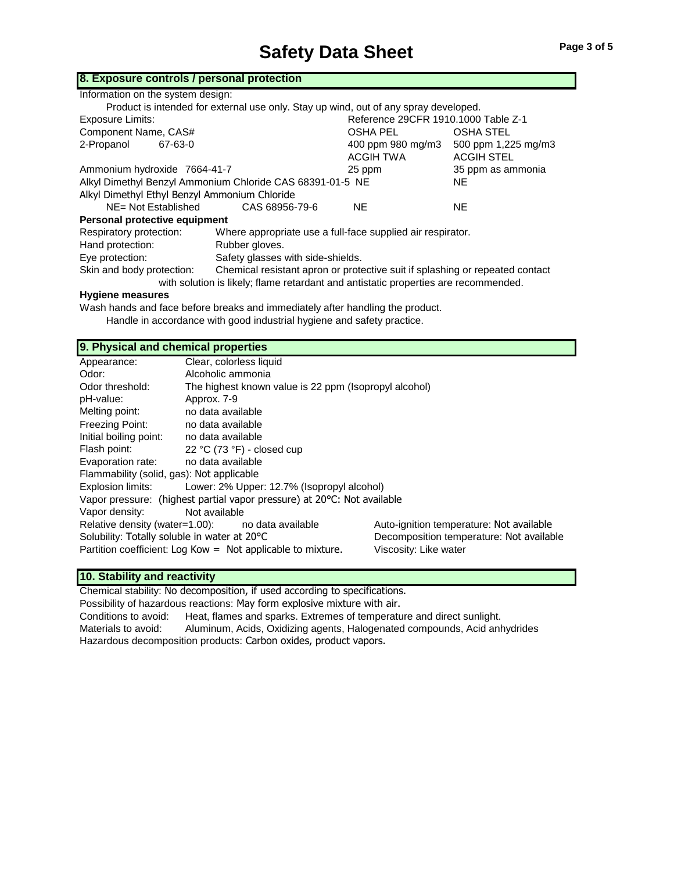#### **8. Exposure controls / personal protection**

| Information on the system design:                         |                                                                                                                |                                     |                     |
|-----------------------------------------------------------|----------------------------------------------------------------------------------------------------------------|-------------------------------------|---------------------|
|                                                           | Product is intended for external use only. Stay up wind, out of any spray developed.                           |                                     |                     |
| Exposure Limits:                                          |                                                                                                                | Reference 29CFR 1910.1000 Table Z-1 |                     |
| Component Name, CAS#                                      |                                                                                                                | OSHA PEL                            | <b>OSHA STEL</b>    |
| 2-Propanol<br>67-63-0                                     |                                                                                                                | 400 ppm 980 mg/m3                   | 500 ppm 1,225 mg/m3 |
|                                                           |                                                                                                                | ACGIH TWA                           | <b>ACGIH STEL</b>   |
| Ammonium hydroxide 7664-41-7                              |                                                                                                                | 25 ppm                              | 35 ppm as ammonia   |
| Alkyl Dimethyl Benzyl Ammonium Chloride CAS 68391-01-5 NE |                                                                                                                |                                     | <b>NE</b>           |
| Alkyl Dimethyl Ethyl Benzyl Ammonium Chloride             |                                                                                                                |                                     |                     |
| NE= Not Established                                       | CAS 68956-79-6                                                                                                 | <b>NE</b>                           | <b>NE</b>           |
| Personal protective equipment                             |                                                                                                                |                                     |                     |
| Respiratory protection:                                   | Where appropriate use a full-face supplied air respirator.                                                     |                                     |                     |
| Hand protection:                                          | Rubber gloves.                                                                                                 |                                     |                     |
| Eye protection:                                           | Safety glasses with side-shields.                                                                              |                                     |                     |
| Skin and body protection:                                 | Chemical resistant apron or protective suit if splashing or repeated contact                                   |                                     |                     |
|                                                           | e de la contrada a la Plesia. Alguna consecuta na serie nalguna de la consecutación de la consecución de la te |                                     |                     |

with solution is likely; flame retardant and antistatic properties are recommended.

#### **Hygiene measures**

Wash hands and face before breaks and immediately after handling the product. Handle in accordance with good industrial hygiene and safety practice.

#### **9. Physical and chemical properties**

| Clear, colorless liquid                                                                                                                                               |                                                                                                               |
|-----------------------------------------------------------------------------------------------------------------------------------------------------------------------|---------------------------------------------------------------------------------------------------------------|
| Alcoholic ammonia                                                                                                                                                     |                                                                                                               |
| The highest known value is 22 ppm (Isopropyl alcohol)                                                                                                                 |                                                                                                               |
| Approx. 7-9                                                                                                                                                           |                                                                                                               |
| no data available                                                                                                                                                     |                                                                                                               |
| no data available                                                                                                                                                     |                                                                                                               |
| no data available                                                                                                                                                     |                                                                                                               |
| 22 °C (73 °F) - closed cup                                                                                                                                            |                                                                                                               |
| no data available                                                                                                                                                     |                                                                                                               |
| Flammability (solid, gas): Not applicable                                                                                                                             |                                                                                                               |
| Lower: 2% Upper: 12.7% (Isopropyl alcohol)                                                                                                                            |                                                                                                               |
| Vapor pressure: (highest partial vapor pressure) at 20°C: Not available                                                                                               |                                                                                                               |
| Not available                                                                                                                                                         |                                                                                                               |
| Relative density (water=1.00): no data available<br>Solubility: Totally soluble in water at 20°C<br>Partition coefficient: Log Kow = $\pi$ Not applicable to mixture. | Auto-ignition temperature: Not available<br>Decomposition temperature: Not available<br>Viscosity: Like water |
|                                                                                                                                                                       |                                                                                                               |

### **10. Stability and reactivity**

Chemical stability: No decomposition, if used according to specifications. Possibility of hazardous reactions: May form explosive mixture with air. Conditions to avoid: Heat, flames and sparks. Extremes of temperature and direct sunlight. Materials to avoid: Aluminum, Acids, Oxidizing agents, Halogenated compounds, Acid anhydrides Hazardous decomposition products: Carbon oxides, product vapors.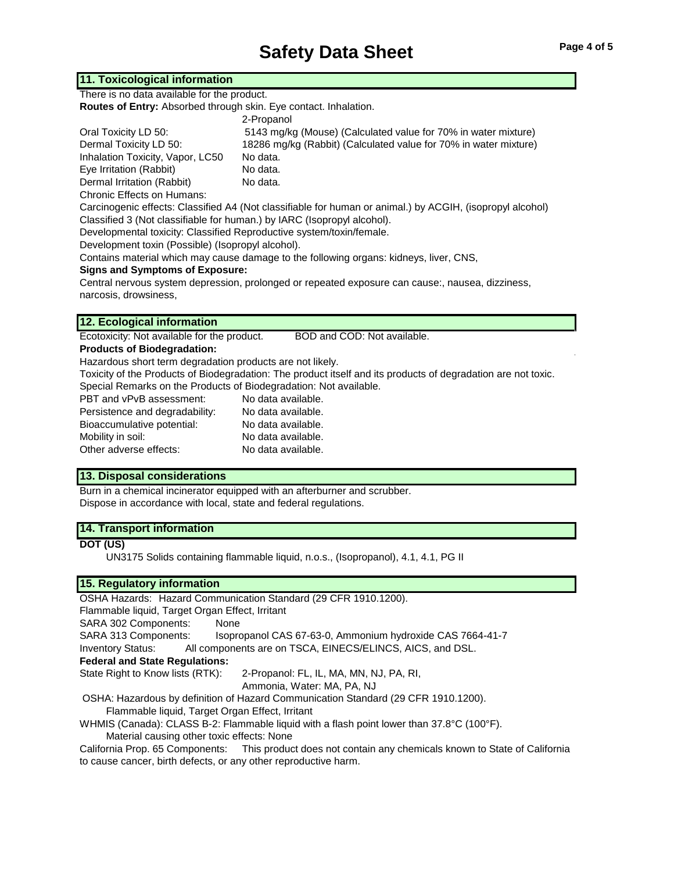## **Safety Data Sheet** Page 4 of 5

## **11. Toxicological information**

There is no data available for the product.

| Routes of Entry: Absorbed through skin. Eye contact. Inhalation. |                                                                                                           |
|------------------------------------------------------------------|-----------------------------------------------------------------------------------------------------------|
|                                                                  | 2-Propanol                                                                                                |
| Oral Toxicity LD 50:                                             | 5143 mg/kg (Mouse) (Calculated value for 70% in water mixture)                                            |
| Dermal Toxicity LD 50:                                           | 18286 mg/kg (Rabbit) (Calculated value for 70% in water mixture)                                          |
| Inhalation Toxicity, Vapor, LC50                                 | No data.                                                                                                  |
| Eye Irritation (Rabbit)                                          | No data.                                                                                                  |
| Dermal Irritation (Rabbit)                                       | No data.                                                                                                  |
| <b>Chronic Effects on Humans:</b>                                |                                                                                                           |
|                                                                  | Carcinogenic effects: Classified A4 (Not classifiable for human or animal.) by ACGIH, (isopropyl alcohol) |
|                                                                  |                                                                                                           |

Classified 3 (Not classifiable for human.) by IARC (Isopropyl alcohol).

Developmental toxicity: Classified Reproductive system/toxin/female.

Development toxin (Possible) (Isopropyl alcohol).

Contains material which may cause damage to the following organs: kidneys, liver, CNS,

#### **Signs and Symptoms of Exposure:**

Central nervous system depression, prolonged or repeated exposure can cause:, nausea, dizziness, narcosis, drowsiness,

#### **12. Ecological information**

Ecotoxicity: Not available for the product. BOD and COD: Not available.

#### **Products of Biodegradation:**

Hazardous short term degradation products are not likely.

Toxicity of the Products of Biodegradation: The product itself and its products of degradation are not toxic. Special Remarks on the Products of Biodegradation: Not available.

| PBT and vPvB assessment:       | No data available. |
|--------------------------------|--------------------|
| Persistence and degradability: | No data available. |
| Bioaccumulative potential:     | No data available. |
| Mobility in soil:              | No data available. |
| Other adverse effects:         | No data available. |

#### **13. Disposal considerations**

Burn in a chemical incinerator equipped with an afterburner and scrubber. Dispose in accordance with local, state and federal regulations.

#### **14. Transport information**

#### **DOT (US)**

UN3175 Solids containing flammable liquid, n.o.s., (Isopropanol), 4.1, 4.1, PG II

#### **15. Regulatory information**

OSHA Hazards: Hazard Communication Standard (29 CFR 1910.1200). Flammable liquid, Target Organ Effect, Irritant SARA 302 Components: None SARA 313 Components: Isopropanol CAS 67-63-0, Ammonium hydroxide CAS 7664-41-7 Inventory Status: All components are on TSCA, EINECS/ELINCS, AICS, and DSL. **Federal and State Regulations:** State Right to Know lists (RTK): 2-Propanol: FL, IL, MA, MN, NJ, PA, RI, Ammonia, Water: MA, PA, NJ

OSHA: Hazardous by definition of Hazard Communication Standard (29 CFR 1910.1200).

Flammable liquid, Target Organ Effect, Irritant

WHMIS (Canada): CLASS B-2: Flammable liquid with a flash point lower than 37.8°C (100°F). Material causing other toxic effects: None

California Prop. 65 Components: This product does not contain any chemicals known to State of California to cause cancer, birth defects, or any other reproductive harm.